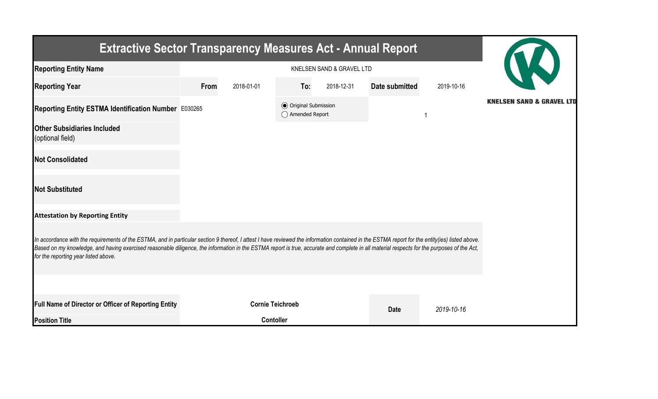| <b>Extractive Sector Transparency Measures Act - Annual Report</b>                                                                                                                                                                                                                                                                                                                                                                    |           |                         |                                                  |            |                |            |                                      |  |  |  |
|---------------------------------------------------------------------------------------------------------------------------------------------------------------------------------------------------------------------------------------------------------------------------------------------------------------------------------------------------------------------------------------------------------------------------------------|-----------|-------------------------|--------------------------------------------------|------------|----------------|------------|--------------------------------------|--|--|--|
| <b>Reporting Entity Name</b>                                                                                                                                                                                                                                                                                                                                                                                                          |           |                         |                                                  |            |                |            |                                      |  |  |  |
| <b>Reporting Year</b>                                                                                                                                                                                                                                                                                                                                                                                                                 | From      | 2018-01-01              | To:                                              | 2018-12-31 | Date submitted | 2019-10-16 |                                      |  |  |  |
| Reporting Entity ESTMA Identification Number E030265                                                                                                                                                                                                                                                                                                                                                                                  |           |                         | <b>◎</b> Original Submission<br>◯ Amended Report |            |                |            | <b>KNELSEN SAND &amp; GRAVEL LTD</b> |  |  |  |
| <b>Other Subsidiaries Included</b><br>(optional field)                                                                                                                                                                                                                                                                                                                                                                                |           |                         |                                                  |            |                |            |                                      |  |  |  |
| <b>Not Consolidated</b>                                                                                                                                                                                                                                                                                                                                                                                                               |           |                         |                                                  |            |                |            |                                      |  |  |  |
| <b>Not Substituted</b>                                                                                                                                                                                                                                                                                                                                                                                                                |           |                         |                                                  |            |                |            |                                      |  |  |  |
| <b>Attestation by Reporting Entity</b>                                                                                                                                                                                                                                                                                                                                                                                                |           |                         |                                                  |            |                |            |                                      |  |  |  |
| In accordance with the requirements of the ESTMA, and in particular section 9 thereof, I attest I have reviewed the information contained in the ESTMA report for the entity(ies) listed above.<br>Based on my knowledge, and having exercised reasonable diligence, the information in the ESTMA report is true, accurate and complete in all material respects for the purposes of the Act,<br>for the reporting year listed above. |           |                         |                                                  |            |                |            |                                      |  |  |  |
|                                                                                                                                                                                                                                                                                                                                                                                                                                       |           |                         |                                                  |            |                |            |                                      |  |  |  |
| Full Name of Director or Officer of Reporting Entity                                                                                                                                                                                                                                                                                                                                                                                  |           | <b>Cornie Teichroeb</b> |                                                  |            | <b>Date</b>    | 2019-10-16 |                                      |  |  |  |
| <b>Position Title</b>                                                                                                                                                                                                                                                                                                                                                                                                                 | Contoller |                         |                                                  |            |                |            |                                      |  |  |  |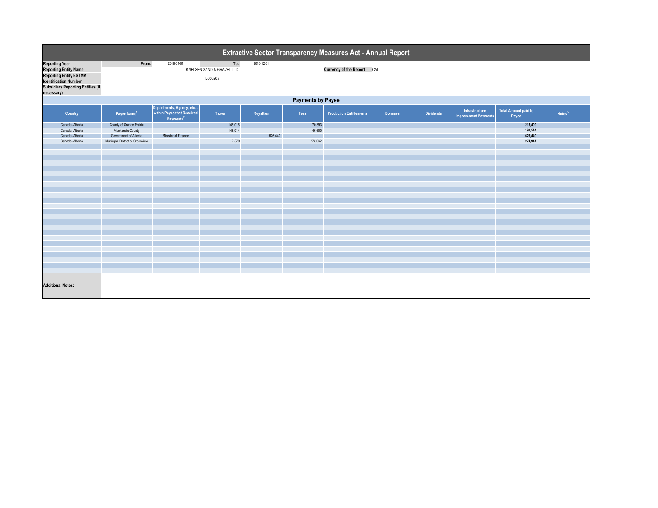| <b>Extractive Sector Transparency Measures Act - Annual Report</b>                                                                                                               |                                                                       |                                                                                       |                                             |            |                  |                                   |                |                  |                                               |                                      |            |  |  |
|----------------------------------------------------------------------------------------------------------------------------------------------------------------------------------|-----------------------------------------------------------------------|---------------------------------------------------------------------------------------|---------------------------------------------|------------|------------------|-----------------------------------|----------------|------------------|-----------------------------------------------|--------------------------------------|------------|--|--|
| <b>Reporting Year</b><br><b>Reporting Entity Name</b><br><b>Reporting Entity ESTMA</b><br><b>Identification Number</b><br><b>Subsidiary Reporting Entities (if</b><br>necessary) | From:                                                                 | 2018-01-01                                                                            | To:<br>KNELSEN SAND & GRAVEL LTD<br>E030265 | 2018-12-31 |                  | <b>Currency of the Report CAD</b> |                |                  |                                               |                                      |            |  |  |
| <b>Payments by Payee</b>                                                                                                                                                         |                                                                       |                                                                                       |                                             |            |                  |                                   |                |                  |                                               |                                      |            |  |  |
| <b>Country</b>                                                                                                                                                                   | Payee Name <sup>1</sup>                                               | Departments, Agency, etc  <br>  within Payee that Received  <br>Payments <sup>2</sup> | <b>Taxes</b>                                | Royalties  | Fees             | <b>Production Entitlements</b>    | <b>Bonuses</b> | <b>Dividends</b> | Infrastructure<br><b>Improvement Payments</b> | <b>Total Amount paid to</b><br>Payee | Notes $34$ |  |  |
| Canada - Alberta<br>Canada - Alberta<br>Canada - Alberta                                                                                                                         | County of Grande Prairie<br>Mackenzie County<br>Government of Alberta | Minister of Finance                                                                   | 145,016<br>143,914                          | 626,440    | 70,393<br>46,600 |                                   |                |                  |                                               | 215,409<br>190,514<br>626,440        |            |  |  |
| Canada - Alberta                                                                                                                                                                 | Municipal District of Greenview                                       |                                                                                       | 2,879                                       |            | 272,062          |                                   |                |                  |                                               | 274,941                              |            |  |  |
|                                                                                                                                                                                  |                                                                       |                                                                                       |                                             |            |                  |                                   |                |                  |                                               |                                      |            |  |  |
|                                                                                                                                                                                  |                                                                       |                                                                                       |                                             |            |                  |                                   |                |                  |                                               |                                      |            |  |  |
|                                                                                                                                                                                  |                                                                       |                                                                                       |                                             |            |                  |                                   |                |                  |                                               |                                      |            |  |  |
|                                                                                                                                                                                  |                                                                       |                                                                                       |                                             |            |                  |                                   |                |                  |                                               |                                      |            |  |  |
|                                                                                                                                                                                  |                                                                       |                                                                                       |                                             |            |                  |                                   |                |                  |                                               |                                      |            |  |  |
|                                                                                                                                                                                  |                                                                       |                                                                                       |                                             |            |                  |                                   |                |                  |                                               |                                      |            |  |  |
|                                                                                                                                                                                  |                                                                       |                                                                                       |                                             |            |                  |                                   |                |                  |                                               |                                      |            |  |  |
| <b>Additional Notes:</b>                                                                                                                                                         |                                                                       |                                                                                       |                                             |            |                  |                                   |                |                  |                                               |                                      |            |  |  |